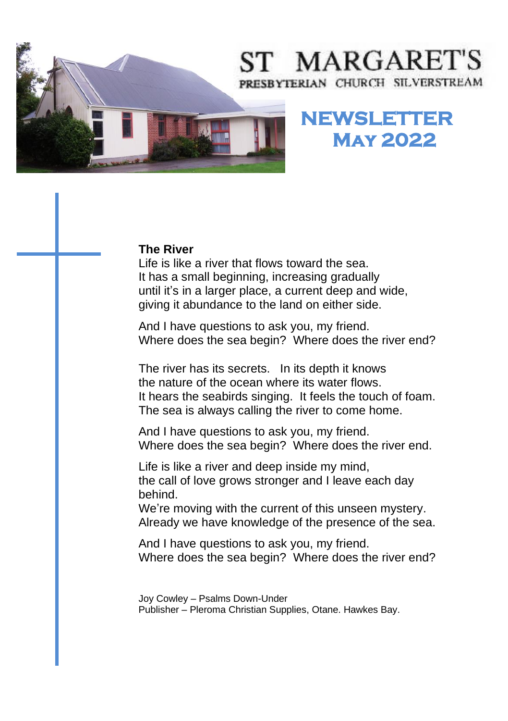# ST MARGARET'S PRESBYTERIAN CHURCH SILVERSTREAM



## **NEWSLETTER May 2022**

### **The River**

**The River**<br>Life is like a river that flows toward the sea.  It has a small beginning, increasing gradually  until it's in a larger place, a current deep and wide,  giving it abundance to the land on either side.

And I have questions to ask you, my friend. Where does the sea begin? Where does the river end?

The river has its secrets. In its depth it knows the nature of the ocean where its water flows. It hears the seabirds singing. It feels the touch of foam. The sea is always calling the river to come home.

And I have questions to ask you, my friend. Where does the sea begin? Where does the river end.

Life is like a river and deep inside my mind, the call of love grows stronger and I leave each day behind.

We're moving with the current of this unseen mystery. Already we have knowledge of the presence of the sea.

And I have questions to ask you, my friend. Where does the sea begin? Where does the river end?

Joy Cowley – Psalms Down-Under Publisher – Pleroma Christian Supplies, Otane. Hawkes Bay.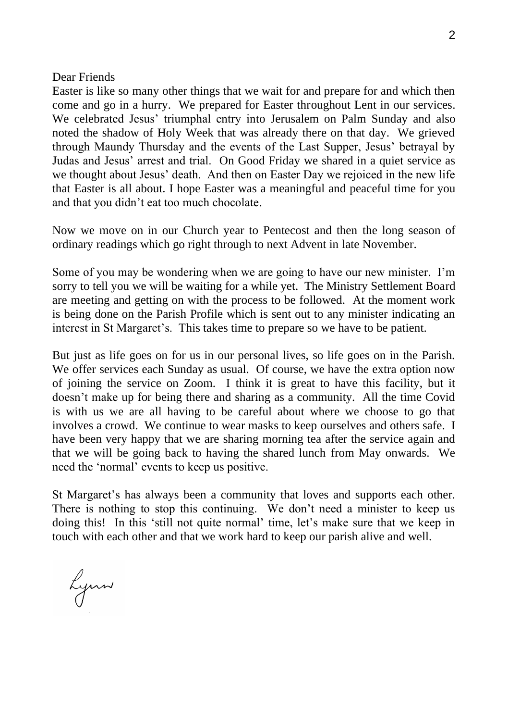#### Dear Friends

Easter is like so many other things that we wait for and prepare for and which then come and go in a hurry. We prepared for Easter throughout Lent in our services. We celebrated Jesus' triumphal entry into Jerusalem on Palm Sunday and also noted the shadow of Holy Week that was already there on that day. We grieved through Maundy Thursday and the events of the Last Supper, Jesus' betrayal by Judas and Jesus' arrest and trial. On Good Friday we shared in a quiet service as we thought about Jesus' death. And then on Easter Day we rejoiced in the new life that Easter is all about. I hope Easter was a meaningful and peaceful time for you and that you didn't eat too much chocolate.

Now we move on in our Church year to Pentecost and then the long season of ordinary readings which go right through to next Advent in late November.

Some of you may be wondering when we are going to have our new minister. I'm sorry to tell you we will be waiting for a while yet. The Ministry Settlement Board are meeting and getting on with the process to be followed. At the moment work is being done on the Parish Profile which is sent out to any minister indicating an interest in St Margaret's. This takes time to prepare so we have to be patient.

But just as life goes on for us in our personal lives, so life goes on in the Parish. We offer services each Sunday as usual. Of course, we have the extra option now of joining the service on Zoom. I think it is great to have this facility, but it doesn't make up for being there and sharing as a community. All the time Covid is with us we are all having to be careful about where we choose to go that involves a crowd. We continue to wear masks to keep ourselves and others safe. I have been very happy that we are sharing morning tea after the service again and that we will be going back to having the shared lunch from May onwards. We need the 'normal' events to keep us positive.

St Margaret's has always been a community that loves and supports each other. There is nothing to stop this continuing. We don't need a minister to keep us doing this! In this 'still not quite normal' time, let's make sure that we keep in touch with each other and that we work hard to keep our parish alive and well.

Lynn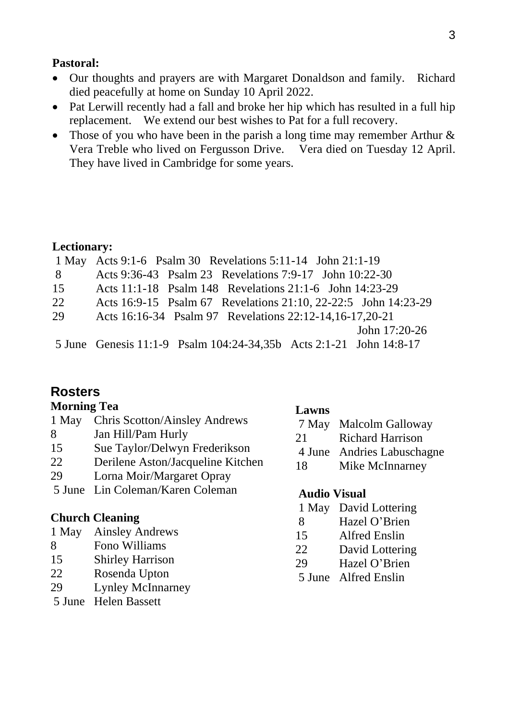### **Pastoral:**

- Our thoughts and prayers are with Margaret Donaldson and family. Richard died peacefully at home on Sunday 10 April 2022.
- Pat Lerwill recently had a fall and broke her hip which has resulted in a full hip replacement. We extend our best wishes to Pat for a full recovery.
- Those of you who have been in the parish a long time may remember Arthur & Vera Treble who lived on Fergusson Drive. Vera died on Tuesday 12 April. They have lived in Cambridge for some years.

### **Lectionary:**

|     | 1 May Acts 9:1-6 Psalm 30 Revelations 5:11-14 John 21:1-19         |               |
|-----|--------------------------------------------------------------------|---------------|
| - 8 | Acts 9:36-43 Psalm 23 Revelations 7:9-17 John 10:22-30             |               |
| 15  | Acts 11:1-18 Psalm 148 Revelations 21:1-6 John 14:23-29            |               |
| 22  | Acts 16:9-15 Psalm 67 Revelations 21:10, 22-22:5 John 14:23-29     |               |
| 29  | Acts 16:16-34 Psalm 97 Revelations 22:12-14,16-17,20-21            |               |
|     |                                                                    | John 17:20-26 |
|     | 5 June Genesis 11:1-9 Psalm 104:24-34,35b Acts 2:1-21 John 14:8-17 |               |

### **Rosters**

### **Morning Tea**

|    | 5 June Lin Coleman/Karen Coleman    |     | <b>Audio Visual</b>        |  |
|----|-------------------------------------|-----|----------------------------|--|
| 29 | Lorna Moir/Margaret Opray           | 18  | Mike McInnarney            |  |
| 22 | Derilene Aston/Jacqueline Kitchen   |     |                            |  |
| 15 | Sue Taylor/Delwyn Frederikson       |     | 4 June Andries Labuschagne |  |
| 8  | Jan Hill/Pam Hurly                  | 21. | <b>Richard Harrison</b>    |  |
|    | 1 May Chris Scotton/Ainsley Andrews |     | 7 May Malcolm Galloway     |  |
|    |                                     |     |                            |  |

### **Church Cleaning**

| 1 May<br><b>Ainsley Andrews</b> |
|---------------------------------|
|---------------------------------|

- 8 Fono Williams
- 15 Shirley Harrison
- 22 Rosenda Upton
- 29 Lynley McInnarney
- 5 June Helen Bassett

### **Lawns**

- 1 May David Lottering
- 8 Hazel O'Brien
- 15 Alfred Enslin
- 22 David Lottering
- 29 Hazel O'Brien
- 5 June Alfred Enslin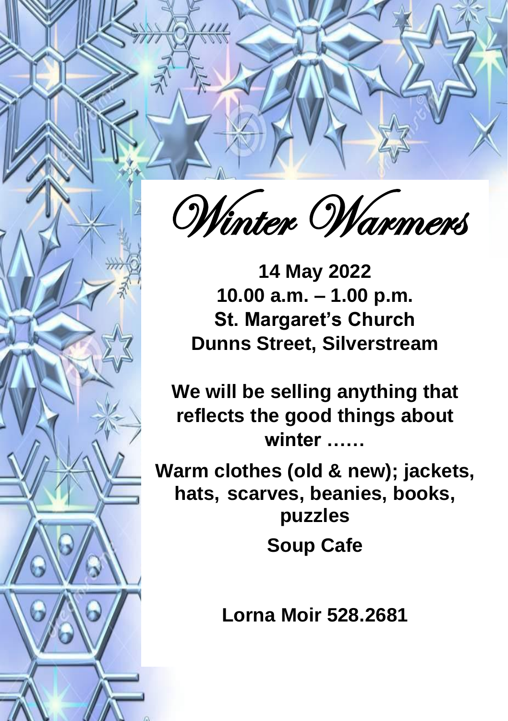

4

**14 May 2022 10.00 a.m. – 1.00 p.m. St. Margaret's Church Dunns Street, Silverstream**

**We will be selling anything that reflects the good things about winter ……**

**Warm clothes (old & new); jackets, hats, scarves, beanies, books, puzzles Soup Cafe**

**Lorna Moir 528.2681**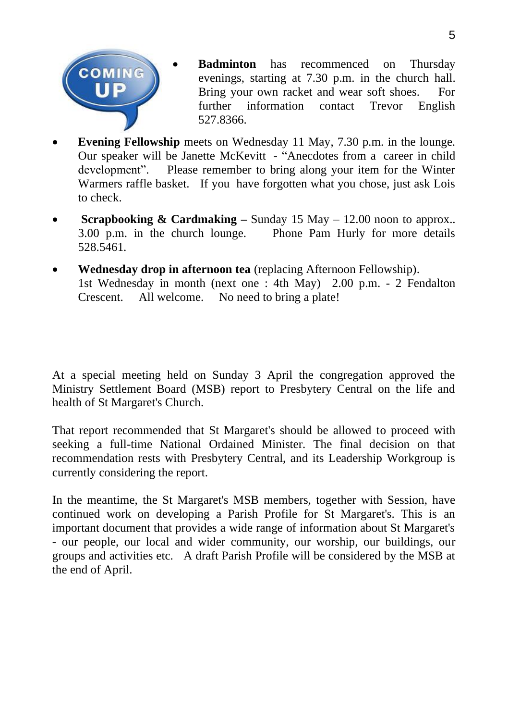

- **Badminton** has recommenced on Thursday evenings, starting at 7.30 p.m. in the church hall. Bring your own racket and wear soft shoes. For further information contact Trevor English 527.8366.
- **Evening Fellowship** meets on Wednesday 11 May, 7.30 p.m. in the lounge. Our speaker will be Janette McKevitt - "Anecdotes from a career in child development". Please remember to bring along your item for the Winter Warmers raffle basket. If you have forgotten what you chose, just ask Lois to check.
- **Scrapbooking & Cardmaking –** Sunday 15 May 12.00 noon to approx.. 3.00 p.m. in the church lounge. Phone Pam Hurly for more details 528.5461.
- **Wednesday drop in afternoon tea** (replacing Afternoon Fellowship). 1st Wednesday in month (next one : 4th May) 2.00 p.m. - 2 Fendalton Crescent. All welcome. No need to bring a plate!

At a special meeting held on Sunday 3 April the congregation approved the Ministry Settlement Board (MSB) report to Presbytery Central on the life and health of St Margaret's Church.

That report recommended that St Margaret's should be allowed to proceed with seeking a full-time National Ordained Minister. The final decision on that recommendation rests with Presbytery Central, and its Leadership Workgroup is currently considering the report.

In the meantime, the St Margaret's MSB members, together with Session, have continued work on developing a Parish Profile for St Margaret's. This is an important document that provides a wide range of information about St Margaret's - our people, our local and wider community, our worship, our buildings, our groups and activities etc. A draft Parish Profile will be considered by the MSB at the end of April.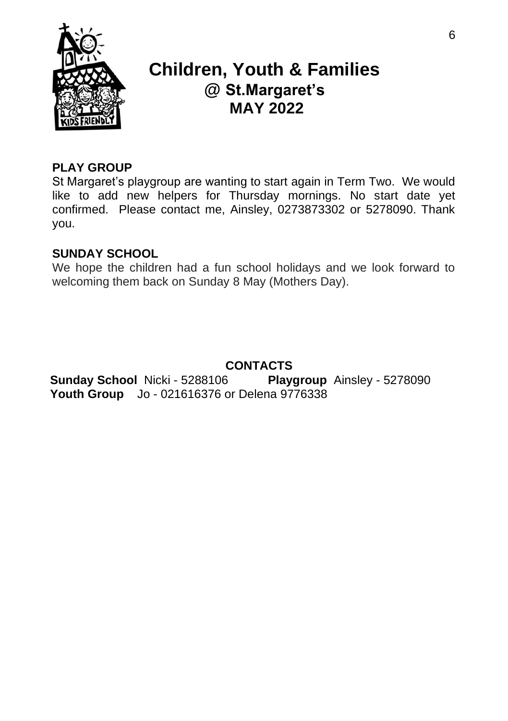

### **Children, Youth & Families @ St.Margaret's MAY 2022**

### **PLAY GROUP**

St Margaret's playgroup are wanting to start again in Term Two. We would like to add new helpers for Thursday mornings. No start date yet confirmed. Please contact me, Ainsley, 0273873302 or 5278090. Thank you.

### **SUNDAY SCHOOL**

We hope the children had a fun school holidays and we look forward to welcoming them back on Sunday 8 May (Mothers Day).

### **CONTACTS**

**Sunday School** Nicki - 5288106 **Playgroup** Ainsley - 5278090 **Youth Group** Jo - 021616376 or Delena 9776338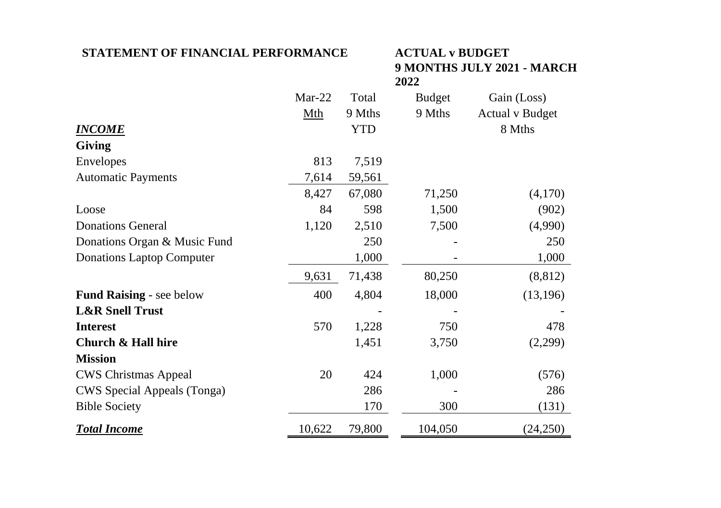### **STATEMENT OF FINANCIAL PERFORMANCE ACTUAL v BUDGET**

## **9 MONTHS JULY 2021 - MARCH 2022**

|                                  | $Mar-22$ | Total  | <b>Budget</b> | Gain (Loss)     |
|----------------------------------|----------|--------|---------------|-----------------|
|                                  | Mth      | 9 Mths | 9 Mths        | Actual v Budget |
| <b>INCOME</b>                    |          | YTD    |               | 8 Mths          |
| <b>Giving</b>                    |          |        |               |                 |
| Envelopes                        | 813      | 7,519  |               |                 |
| <b>Automatic Payments</b>        | 7,614    | 59,561 |               |                 |
|                                  | 8,427    | 67,080 | 71,250        | (4,170)         |
| Loose                            | 84       | 598    | 1,500         | (902)           |
| <b>Donations General</b>         | 1,120    | 2,510  | 7,500         | (4,990)         |
| Donations Organ & Music Fund     |          | 250    |               | 250             |
| <b>Donations Laptop Computer</b> |          | 1,000  |               | 1,000           |
|                                  | 9,631    | 71,438 | 80,250        | (8, 812)        |
| <b>Fund Raising - see below</b>  | 400      | 4,804  | 18,000        | (13, 196)       |
| <b>L&amp;R Snell Trust</b>       |          |        |               |                 |
| <b>Interest</b>                  | 570      | 1,228  | 750           | 478             |
| Church & Hall hire               |          | 1,451  | 3,750         | (2,299)         |
| <b>Mission</b>                   |          |        |               |                 |
| <b>CWS Christmas Appeal</b>      | 20       | 424    | 1,000         | (576)           |
| CWS Special Appeals (Tonga)      |          | 286    |               | 286             |
| <b>Bible Society</b>             |          | 170    | 300           | (131)           |
| <b>Total Income</b>              | 10,622   | 79,800 | 104,050       | (24,250)        |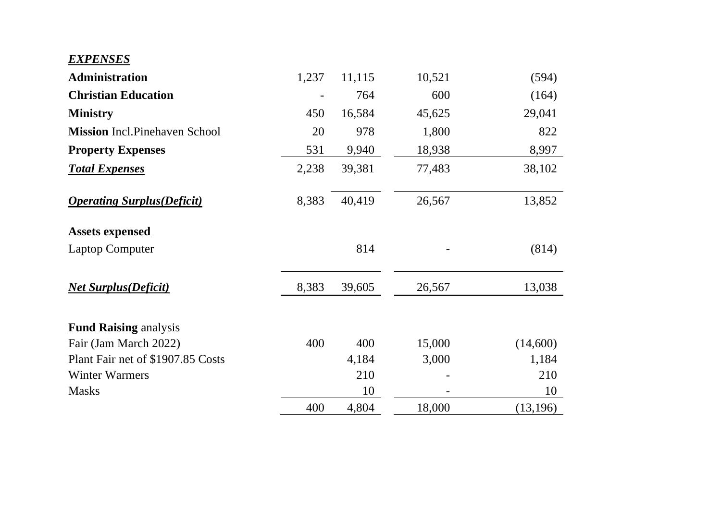### *EXPENSES*

| <b>Administration</b>                 | 1,237 | 11,115 | 10,521 | (594)     |
|---------------------------------------|-------|--------|--------|-----------|
| <b>Christian Education</b>            |       | 764    | 600    | (164)     |
| <b>Ministry</b>                       | 450   | 16,584 | 45,625 | 29,041    |
| <b>Mission</b> Incl. Pinehaven School | 20    | 978    | 1,800  | 822       |
| <b>Property Expenses</b>              | 531   | 9,940  | 18,938 | 8,997     |
| <b>Total Expenses</b>                 | 2,238 | 39,381 | 77,483 | 38,102    |
| <b>Operating Surplus (Deficit)</b>    | 8,383 | 40,419 | 26,567 | 13,852    |
| <b>Assets expensed</b>                |       |        |        |           |
| Laptop Computer                       |       | 814    |        | (814)     |
| <b>Net Surplus (Deficit)</b>          | 8,383 | 39,605 | 26,567 | 13,038    |
| <b>Fund Raising analysis</b>          |       |        |        |           |
| Fair (Jam March 2022)                 | 400   | 400    | 15,000 | (14,600)  |
| Plant Fair net of \$1907.85 Costs     |       | 4,184  | 3,000  | 1,184     |
| Winter Warmers                        |       | 210    |        | 210       |
| <b>Masks</b>                          |       | 10     |        | 10        |
|                                       | 400   | 4,804  | 18,000 | (13, 196) |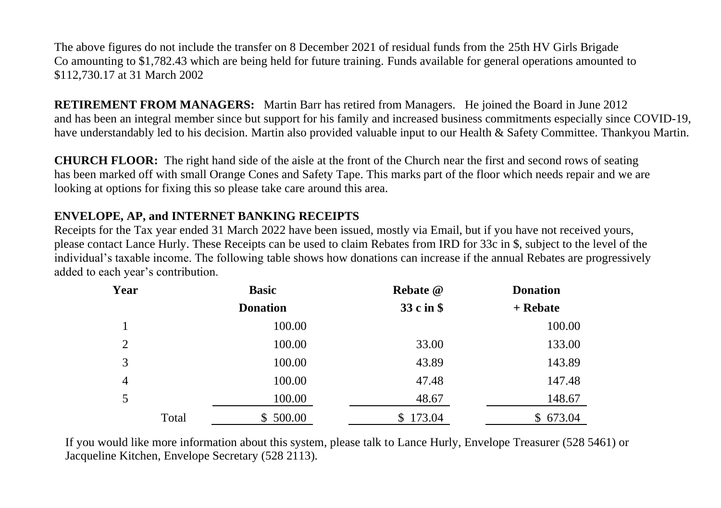The above figures do not include the transfer on 8 December 2021 of residual funds from the 25th HV Girls Brigade Co amounting to \$1,782.43 which are being held for future training. Funds available for general operations amounted to \$112,730.17 at 31 March 2002

**RETIREMENT FROM MANAGERS:** Martin Barr has retired from Managers. He joined the Board in June 2012 and has been an integral member since but support for his family and increased business commitments especially since COVID-19, have understandably led to his decision. Martin also provided valuable input to our Health & Safety Committee. Thankyou Martin.

**CHURCH FLOOR:** The right hand side of the aisle at the front of the Church near the first and second rows of seating has been marked off with small Orange Cones and Safety Tape. This marks part of the floor which needs repair and we are looking at options for fixing this so please take care around this area.

### **ENVELOPE, AP, and INTERNET BANKING RECEIPTS**

Receipts for the Tax year ended 31 March 2022 have been issued, mostly via Email, but if you have not received yours, please contact Lance Hurly. These Receipts can be used to claim Rebates from IRD for 33c in \$, subject to the level of the individual's taxable income. The following table shows how donations can increase if the annual Rebates are progressively added to each year's contribution.

| Year           |       | <b>Basic</b>    | Rebate @     | <b>Donation</b> |  |
|----------------|-------|-----------------|--------------|-----------------|--|
|                |       | <b>Donation</b> | 33 c in \$   | + Rebate        |  |
|                |       | 100.00          |              | 100.00          |  |
| $\overline{2}$ |       | 100.00          | 33.00        | 133.00          |  |
| 3              |       | 100.00          | 43.89        | 143.89          |  |
| 4              |       | 100.00          | 47.48        | 147.48          |  |
| 5              |       | 100.00          | 48.67        | 148.67          |  |
|                | Total | 500.00<br>S.    | 173.04<br>S. | \$673.04        |  |

If you would like more information about this system, please talk to Lance Hurly, Envelope Treasurer (528 5461) or Jacqueline Kitchen, Envelope Secretary (528 2113).